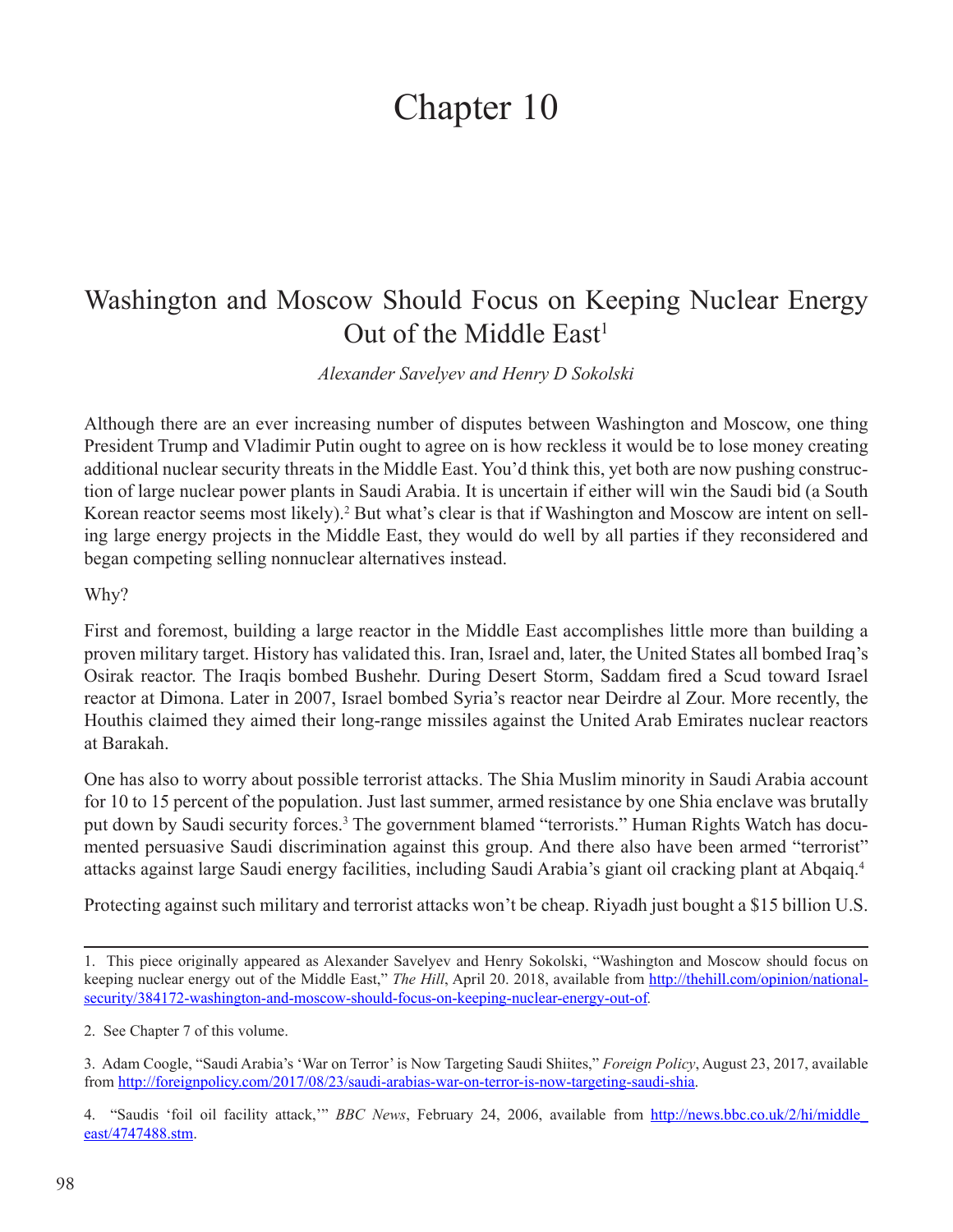## Chapter 10

## Washington and Moscow Should Focus on Keeping Nuclear Energy Out of the Middle  $East<sup>1</sup>$

*Alexander Savelyev and Henry D Sokolski*

Although there are an ever increasing number of disputes between Washington and Moscow, one thing President Trump and Vladimir Putin ought to agree on is how reckless it would be to lose money creating additional nuclear security threats in the Middle East. You'd think this, yet both are now pushing construction of large nuclear power plants in Saudi Arabia. It is uncertain if either will win the Saudi bid (a South Korean reactor seems most likely).<sup>2</sup> But what's clear is that if Washington and Moscow are intent on selling large energy projects in the Middle East, they would do well by all parties if they reconsidered and began competing selling nonnuclear alternatives instead.

## Why?

First and foremost, building a large reactor in the Middle East accomplishes little more than building a proven military target. History has validated this. Iran, Israel and, later, the United States all bombed Iraq's Osirak reactor. The Iraqis bombed Bushehr. During Desert Storm, Saddam fired a Scud toward Israel reactor at Dimona. Later in 2007, Israel bombed Syria's reactor near Deirdre al Zour. More recently, the Houthis claimed they aimed their long-range missiles against the United Arab Emirates nuclear reactors at Barakah.

One has also to worry about possible terrorist attacks. The Shia Muslim minority in Saudi Arabia account for 10 to 15 percent of the population. Just last summer, armed resistance by one Shia enclave was brutally put down by Saudi security forces.<sup>3</sup> The government blamed "terrorists." Human Rights Watch has documented persuasive Saudi discrimination against this group. And there also have been armed "terrorist" attacks against large Saudi energy facilities, including Saudi Arabia's giant oil cracking plant at Abqaiq.<sup>4</sup>

Protecting against such military and terrorist attacks won't be cheap. Riyadh just bought a \$15 billion U.S.

<sup>1.</sup> This piece originally appeared as Alexander Savelyev and Henry Sokolski, "Washington and Moscow should focus on keeping nuclear energy out of the Middle East," *The Hill*, April 20. 2018, available from [http://thehill.com/opinion/national](http://thehill.com/opinion/national-security/384172-washington-and-moscow-should-focus-on-keeping-nuclear-energy-out-of)[security/384172-washington-and-moscow-should-focus-on-keeping-nuclear-energy-out-of](http://thehill.com/opinion/national-security/384172-washington-and-moscow-should-focus-on-keeping-nuclear-energy-out-of)*.*

<sup>2.</sup> See Chapter 7 of this volume.

<sup>3.</sup> Adam Coogle, "Saudi Arabia's 'War on Terror' is Now Targeting Saudi Shiites," *Foreign Policy*, August 23, 2017, available from [http://foreignpolicy.com/2017/08/23/saudi-arabias-war-on-terror-is-now-targeting-saudi-shia.](http://foreignpolicy.com/2017/08/23/saudi-arabias-war-on-terror-is-now-targeting-saudi-shia)

<sup>4. &</sup>quot;Saudis 'foil oil facility attack,'" *BBC News*, February 24, 2006, available from [http://news.bbc.co.uk/2/hi/middle\\_](http://news.bbc.co.uk/2/hi/middle_east/4747488.stm) [east/4747488.stm](http://news.bbc.co.uk/2/hi/middle_east/4747488.stm).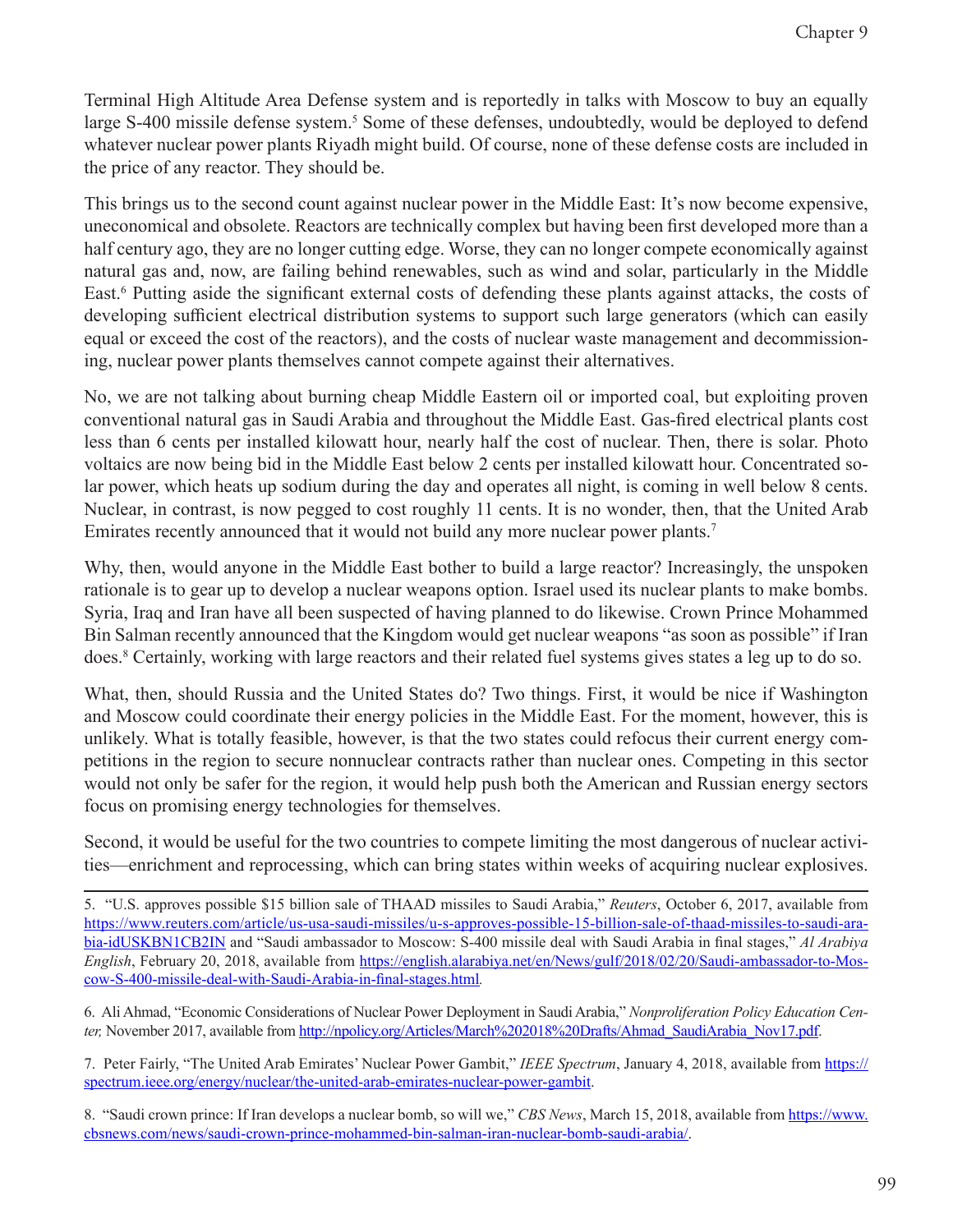Terminal High Altitude Area Defense system and is reportedly in talks with Moscow to buy an equally large S-400 missile defense system.<sup>5</sup> Some of these defenses, undoubtedly, would be deployed to defend whatever nuclear power plants Riyadh might build. Of course, none of these defense costs are included in the price of any reactor. They should be.

This brings us to the second count against nuclear power in the Middle East: It's now become expensive, uneconomical and obsolete. Reactors are technically complex but having been first developed more than a half century ago, they are no longer cutting edge. Worse, they can no longer compete economically against natural gas and, now, are failing behind renewables, such as wind and solar, particularly in the Middle East.<sup>6</sup> Putting aside the significant external costs of defending these plants against attacks, the costs of developing sufficient electrical distribution systems to support such large generators (which can easily equal or exceed the cost of the reactors), and the costs of nuclear waste management and decommissioning, nuclear power plants themselves cannot compete against their alternatives.

No, we are not talking about burning cheap Middle Eastern oil or imported coal, but exploiting proven conventional natural gas in Saudi Arabia and throughout the Middle East. Gas-fired electrical plants cost less than 6 cents per installed kilowatt hour, nearly half the cost of nuclear. Then, there is solar. Photo voltaics are now being bid in the Middle East below 2 cents per installed kilowatt hour. Concentrated solar power, which heats up sodium during the day and operates all night, is coming in well below 8 cents. Nuclear, in contrast, is now pegged to cost roughly 11 cents. It is no wonder, then, that the United Arab Emirates recently announced that it would not build any more nuclear power plants.7

Why, then, would anyone in the Middle East bother to build a large reactor? Increasingly, the unspoken rationale is to gear up to develop a nuclear weapons option. Israel used its nuclear plants to make bombs. Syria, Iraq and Iran have all been suspected of having planned to do likewise. Crown Prince Mohammed Bin Salman recently announced that the Kingdom would get nuclear weapons "as soon as possible" if Iran does.8 Certainly, working with large reactors and their related fuel systems gives states a leg up to do so.

What, then, should Russia and the United States do? Two things. First, it would be nice if Washington and Moscow could coordinate their energy policies in the Middle East. For the moment, however, this is unlikely. What is totally feasible, however, is that the two states could refocus their current energy competitions in the region to secure nonnuclear contracts rather than nuclear ones. Competing in this sector would not only be safer for the region, it would help push both the American and Russian energy sectors focus on promising energy technologies for themselves.

Second, it would be useful for the two countries to compete limiting the most dangerous of nuclear activities—enrichment and reprocessing, which can bring states within weeks of acquiring nuclear explosives.

6. Ali Ahmad, "Economic Considerations of Nuclear Power Deployment in Saudi Arabia," *Nonproliferation Policy Education Center,* November 2017, available from [http://npolicy.org/Articles/March%202018%20Drafts/Ahmad\\_SaudiArabia\\_Nov17.pdf.](http://npolicy.org/Articles/March%202018%20Drafts/Ahmad_SaudiArabia_Nov17.pdf)

7. Peter Fairly, "The United Arab Emirates' Nuclear Power Gambit," *IEEE Spectrum*, January 4, 2018, available from [https://](https://spectrum.ieee.org/energy/nuclear/the-united-arab-emirates-nuclear-power-gambit) [spectrum.ieee.org/energy/nuclear/the-united-arab-emirates-nuclear-power-gambit.](https://spectrum.ieee.org/energy/nuclear/the-united-arab-emirates-nuclear-power-gambit)

8. "Saudi crown prince: If Iran develops a nuclear bomb, so will we," *CBS News*, March 15, 2018, available from [https://www.](https://www.cbsnews.com/news/saudi-crown-prince-mohammed-bin-salman-iran-nuclear-bomb-saudi-arabia/) [cbsnews.com/news/saudi-crown-prince-mohammed-bin-salman-iran-nuclear-bomb-saudi-arabia/](https://www.cbsnews.com/news/saudi-crown-prince-mohammed-bin-salman-iran-nuclear-bomb-saudi-arabia/).

<sup>5. &</sup>quot;U.S. approves possible \$15 billion sale of THAAD missiles to Saudi Arabia," *Reuters*, October 6, 2017, available from [https://www.reuters.com/article/us-usa-saudi-missiles/u-s-approves-possible-15-billion-sale-of-thaad-missiles-to-saudi-ara](https://www.reuters.com/article/us-usa-saudi-missiles/u-s-approves-possible-15-billion-sale-of-thaad-missiles-to-saudi-arabia-idUSKBN1CB2IN)[bia-idUSKBN1CB2IN](https://www.reuters.com/article/us-usa-saudi-missiles/u-s-approves-possible-15-billion-sale-of-thaad-missiles-to-saudi-arabia-idUSKBN1CB2IN) and "Saudi ambassador to Moscow: S-400 missile deal with Saudi Arabia in final stages," *Al Arabiya English*, February 20, 2018, available from [https://english.alarabiya.net/en/News/gulf/2018/02/20/Saudi-ambassador-to-Mos](https://english.alarabiya.net/en/News/gulf/2018/02/20/Saudi-ambassador-to-Moscow-S-400-missile-deal-with-Saudi-Arabia-in-final-stages.html)[cow-S-400-missile-deal-with-Saudi-Arabia-in-final-stages.html](https://english.alarabiya.net/en/News/gulf/2018/02/20/Saudi-ambassador-to-Moscow-S-400-missile-deal-with-Saudi-Arabia-in-final-stages.html)*.*